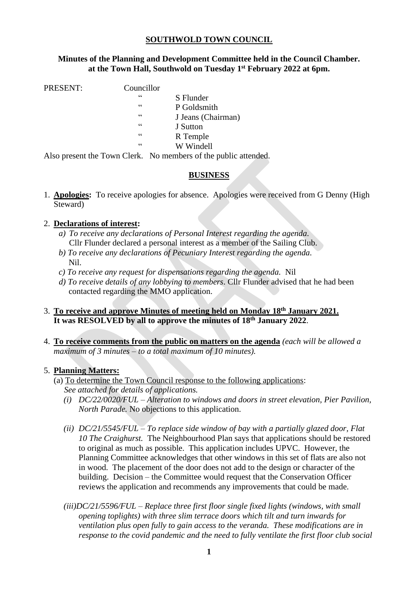# **SOUTHWOLD TOWN COUNCIL**

### **Minutes of the Planning and Development Committee held in the Council Chamber. at the Town Hall, Southwold on Tuesday 1 st February 2022 at 6pm.**

PRESENT: Councillor

- " S Flunder P Goldsmith " J Jeans (Chairman) " J Sutton " R Temple
	- W Windell

Also present the Town Clerk. No members of the public attended.

# **BUSINESS**

1. **Apologies:** To receive apologies for absence. Apologies were received from G Denny (High Steward)

### 2. **Declarations of interest:**

- *a) To receive any declarations of Personal Interest regarding the agenda*. Cllr Flunder declared a personal interest as a member of the Sailing Club.
- *b) To receive any declarations of Pecuniary Interest regarding the agenda.* Nil.
- *c) To receive any request for dispensations regarding the agenda.* Nil
- *d) To receive details of any lobbying to members*. Cllr Flunder advised that he had been contacted regarding the MMO application.
- 3. **To receive and approve Minutes of meeting held on Monday 18th January 2021. It was RESOLVED by all to approve the minutes of 18th January 2022**.
- 4. **To receive comments from the public on matters on the agenda** *(each will be allowed a maximum of 3 minutes – to a total maximum of 10 minutes).*

### 5. **Planning Matters:**

- (a) To determine the Town Council response to the following applications: *See attached for details of applications.* 
	- *(i) DC/22/0020/FUL – Alteration to windows and doors in street elevation, Pier Pavilion, North Parade.* No objections to this application.
	- *(ii) DC/21/5545/FUL – To replace side window of bay with a partially glazed door, Flat 10 The Craighurst.* The Neighbourhood Plan says that applications should be restored to original as much as possible. This application includes UPVC. However, the Planning Committee acknowledges that other windows in this set of flats are also not in wood. The placement of the door does not add to the design or character of the building. Decision – the Committee would request that the Conservation Officer reviews the application and recommends any improvements that could be made.
	- *(iii)DC/21/5596/FUL – Replace three first floor single fixed lights (windows, with small opening toplights) with three slim terrace doors which tilt and turn inwards for ventilation plus open fully to gain access to the veranda. These modifications are in response to the covid pandemic and the need to fully ventilate the first floor club social*